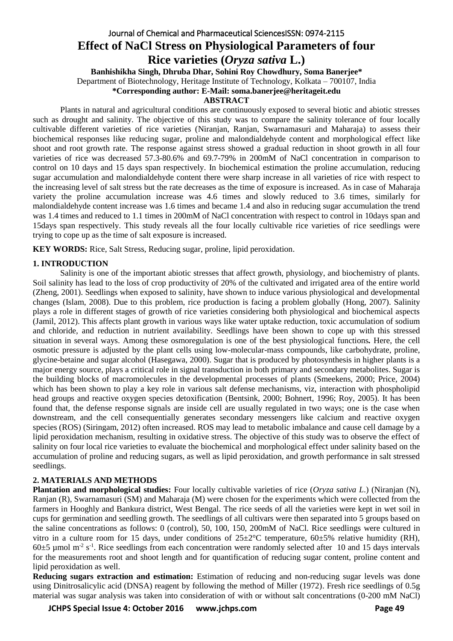# Journal of Chemical and Pharmaceutical SciencesISSN: 0974-2115 **Effect of NaCl Stress on Physiological Parameters of four Rice varieties (***Oryza sativa* **L.)**

**Banhishikha Singh, Dhruba Dhar, Sohini Roy Chowdhury, Soma Banerjee\***

Department of Biotechnology, Heritage Institute of Technology, Kolkata – 700107, India

**\*Corresponding author: E-Mail: [soma.banerjee@heritageit.edu](mailto:soma.banerjee@heritageit.edu)**

#### **ABSTRACT**

Plants in natural and agricultural conditions are continuously exposed to several biotic and abiotic stresses such as drought and salinity. The objective of this study was to compare the salinity tolerance of four locally cultivable different varieties of rice varieties (Niranjan, Ranjan, Swarnamasuri and Maharaja) to assess their biochemical responses like reducing sugar, proline and malondialdehyde content and morphological effect like shoot and root growth rate. The response against stress showed a gradual reduction in shoot growth in all four varieties of rice was decreased 57.3-80.6% and 69.7-79% in 200mM of NaCl concentration in comparison to control on 10 days and 15 days span respectively. In biochemical estimation the proline accumulation, reducing sugar accumulation and malondialdehyde content there were sharp increase in all varieties of rice with respect to the increasing level of salt stress but the rate decreases as the time of exposure is increased. As in case of Maharaja variety the proline accumulation increase was 4.6 times and slowly reduced to 3.6 times, similarly for malondialdehyde content increase was 1.6 times and became 1.4 and also in reducing sugar accumulation the trend was 1.4 times and reduced to 1.1 times in 200mM of NaCl concentration with respect to control in 10days span and 15days span respectively. This study reveals all the four locally cultivable rice varieties of rice seedlings were trying to cope up as the time of salt exposure is increased.

**KEY WORDS:** Rice, Salt Stress, Reducing sugar, proline, lipid peroxidation.

# **1. INTRODUCTION**

Salinity is one of the important abiotic stresses that affect growth, physiology, and biochemistry of plants. Soil salinity has lead to the loss of crop productivity of 20% of the cultivated and irrigated area of the entire world (Zheng, 2001). Seedlings when exposed to salinity, have shown to induce various physiological and developmental changes (Islam, 2008). Due to this problem, rice production is facing a problem globally (Hong, 2007). Salinity plays a role in different stages of growth of rice varieties considering both physiological and biochemical aspects (Jamil, 2012). This affects plant growth in various ways like water uptake reduction, toxic accumulation of sodium and chloride, and reduction in nutrient availability. Seedlings have been shown to cope up with this stressed situation in several ways. Among these osmoregulation is one of the best physiological functions*.* Here, the cell osmotic pressure is adjusted by the plant cells using low-molecular-mass compounds, like carbohydrate, proline, glycine-betaine and sugar alcohol (Hasegawa, 2000). Sugar that is produced by photosynthesis in higher plants is a major energy source, plays a critical role in signal transduction in both primary and secondary metabolites. Sugar is the building blocks of macromolecules in the developmental processes of plants (Smeekens, 2000; Price, 2004) which has been shown to play a key role in various salt defense mechanisms, viz, interaction with phospholipid head groups and reactive oxygen species detoxification (Bentsink, 2000; Bohnert, 1996; Roy, 2005). It has been found that, the defense response signals are inside cell are usually regulated in two ways; one is the case when downstream, and the cell consequentially generates secondary messengers like calcium and reactive oxygen species (ROS) (Siringam, 2012) often increased. ROS may lead to metabolic imbalance and cause cell damage by a lipid peroxidation mechanism, resulting in oxidative stress. The objective of this study was to observe the effect of salinity on four local rice varieties to evaluate the biochemical and morphological effect under salinity based on the accumulation of proline and reducing sugars, as well as lipid peroxidation, and growth performance in salt stressed seedlings.

# **2. MATERIALS AND METHODS**

**Plantation and morphological studies:** Four locally cultivable varieties of rice (*Oryza sativa L*.) (Niranjan (N), Ranjan (R), Swarnamasuri (SM) and Maharaja (M) were chosen for the experiments which were collected from the farmers in Hooghly and Bankura district, West Bengal. The rice seeds of all the varieties were kept in wet soil in cups for germination and seedling growth. The seedlings of all cultivars were then separated into 5 groups based on the saline concentrations as follows: 0 (control), 50, 100, 150, 200mM of NaCl. Rice seedlings were cultured in vitro in a culture room for 15 days, under conditions of  $25\pm2\degree$ C temperature,  $60\pm5\%$  relative humidity (RH),  $60\pm5$  µmol m<sup>-2</sup> s<sup>-1</sup>. Rice seedlings from each concentration were randomly selected after 10 and 15 days intervals for the measurements root and shoot length and for quantification of reducing sugar content, proline content and lipid peroxidation as well.

**Reducing sugars extraction and estimation:** Estimation of reducing and non-reducing sugar levels was done using Dinitrosalicylic acid (DNSA) reagent by following the method of Miller (1972). Fresh rice seedlings of 0.5g material was sugar analysis was taken into consideration of with or without salt concentrations (0-200 mM NaCl)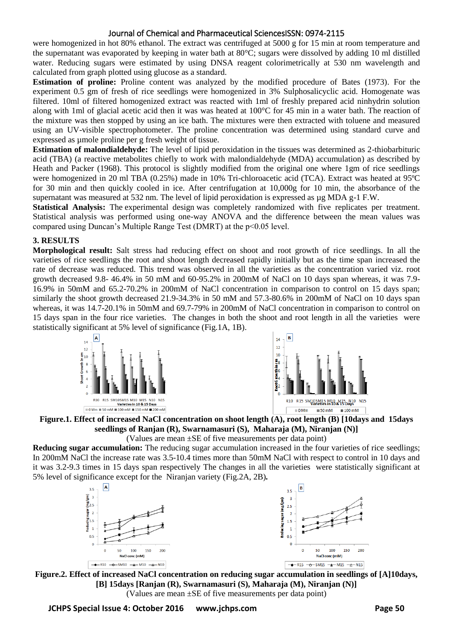were homogenized in hot 80% ethanol. The extract was centrifuged at 5000 g for 15 min at room temperature and the supernatant was evaporated by keeping in water bath at 80°C; sugars were dissolved by adding 10 ml distilled water. Reducing sugars were estimated by using DNSA reagent colorimetrically at 530 nm wavelength and calculated from graph plotted using glucose as a standard.

**Estimation of proline:** Proline content was analyzed by the modified procedure of Bates (1973). For the experiment 0.5 gm of fresh of rice seedlings were homogenized in 3% Sulphosalicyclic acid. Homogenate was filtered. 10ml of filtered homogenized extract was reacted with 1ml of freshly prepared acid ninhydrin solution along with 1ml of glacial acetic acid then it was was heated at 100°C for 45 min in a water bath. The reaction of the mixture was then stopped by using an ice bath. The mixtures were then extracted with toluene and measured using an UV-visible spectrophotometer. The proline concentration was determined using standard curve and expressed as µmole proline per g fresh weight of tissue.

**Estimation of malondialdehyde:** The level of lipid peroxidation in the tissues was determined as 2-thiobarbituric acid (TBA) (a reactive metabolites chiefly to work with malondialdehyde (MDA) accumulation) as described by Heath and Packer (1968). This protocol is slightly modified from the original one where 1gm of rice seedlings were homogenized in 20 ml TBA (0.25%) made in 10% Tri-chloroacetic acid (TCA). Extract was heated at 95ºC for 30 min and then quickly cooled in ice. After centrifugation at 10,000g for 10 min, the absorbance of the supernatant was measured at 532 nm. The level of lipid peroxidation is expressed as  $\mu$ g MDA g-1 F.W.

**Statistical Analysis:** The experimental design was completely randomized with five replicates per treatment. Statistical analysis was performed using one-way ANOVA and the difference between the mean values was compared using Duncan's Multiple Range Test (DMRT) at the p<0.05 level.

# **3. RESULTS**

**Morphological result:** Salt stress had reducing effect on shoot and root growth of rice seedlings. In all the varieties of rice seedlings the root and shoot length decreased rapidly initially but as the time span increased the rate of decrease was reduced. This trend was observed in all the varieties as the concentration varied viz. root growth decreased 9.8- 46.4% in 50 mM and 60-95.2% in 200mM of NaCl on 10 days span whereas, it was 7.9- 16.9% in 50mM and 65.2-70.2% in 200mM of NaCl concentration in comparison to control on 15 days span; similarly the shoot growth decreased 21.9-34.3% in 50 mM and 57.3-80.6% in 200mM of NaCl on 10 days span whereas, it was 14.7-20.1% in 50mM and 69.7-79% in 200mM of NaCl concentration in comparison to control on 15 days span in the four rice varieties. The changes in both the shoot and root length in all the varieties were statistically significant at 5% level of significance (Fig.1A, 1B).





# **Figure.1. Effect of increased NaCl concentration on shoot length (A), root length (B) [10days and 15days seedlings of Ranjan (R), Swarnamasuri (S), Maharaja (M), Niranjan (N)]**

(Values are mean ±SE of five measurements per data point)

**Reducing sugar accumulation:** The reducing sugar accumulation increased in the four varieties of rice seedlings; In 200mM NaCl the increase rate was 3.5-10.4 times more than 50mM NaCl with respect to control in 10 days and it was 3.2-9.3 times in 15 days span respectively The changes in all the varieties were statistically significant at 5% level of significance except for the Niranjan variety (Fig.2A, 2B)*.*



**Figure.2. Effect of increased NaCl concentration on reducing sugar accumulation in seedlings of [A]10days, [B] 15days [Ranjan (R), Swarnamasuri (S), Maharaja (M), Niranjan (N)]**  (Values are mean ±SE of five measurements per data point)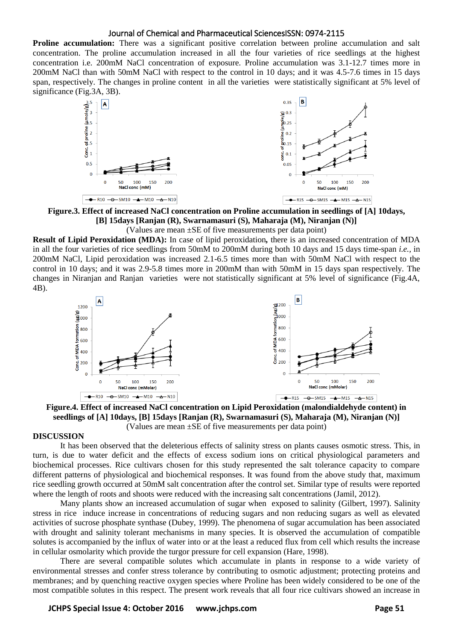**Proline accumulation:** There was a significant positive correlation between proline accumulation and salt concentration. The proline accumulation increased in all the four varieties of rice seedlings at the highest concentration i.e. 200mM NaCl concentration of exposure. Proline accumulation was 3.1-12.7 times more in 200mM NaCl than with 50mM NaCl with respect to the control in 10 days; and it was 4.5-7.6 times in 15 days span, respectively. The changes in proline content in all the varieties were statistically significant at 5% level of significance (Fig.3A, 3B).



**Figure.3. Effect of increased NaCl concentration on Proline accumulation in seedlings of [A] 10days, [B] 15days [Ranjan (R), Swarnamasuri (S), Maharaja (M), Niranjan (N)]** 

(Values are mean ±SE of five measurements per data point)

**Result of Lipid Peroxidation (MDA):** In case of lipid peroxidation*,* there is an increased concentration of MDA in all the four varieties of rice seedlings from 50mM to 200mM during both 10 days and 15 days time-span *i.e.,* in 200mM NaCl, Lipid peroxidation was increased 2.1-6.5 times more than with 50mM NaCl with respect to the control in 10 days; and it was 2.9-5.8 times more in 200mM than with 50mM in 15 days span respectively*.* The changes in Niranjan and Ranjan varieties were not statistically significant at 5% level of significance (Fig.4A, 4B).



**Figure.4. Effect of increased NaCl concentration on Lipid Peroxidation (malondialdehyde content) in seedlings of [A] 10days, [B] 15days [Ranjan (R), Swarnamasuri (S), Maharaja (M), Niranjan (N)]**  (Values are mean ±SE of five measurements per data point)

#### **DISCUSSION**

It has been observed that the deleterious effects of salinity stress on plants causes osmotic stress. This, in turn, is due to water deficit and the effects of excess sodium ions on critical physiological parameters and biochemical processes. Rice cultivars chosen for this study represented the salt tolerance capacity to compare different patterns of physiological and biochemical responses. It was found from the above study that, maximum rice seedling growth occurred at 50mM salt concentration after the control set. Similar type of results were reported where the length of roots and shoots were reduced with the increasing salt concentrations (Jamil, 2012).

Many plants show an increased accumulation of sugar when exposed to salinity (Gilbert, 1997). Salinity stress in rice induce increase in concentrations of reducing sugars and non reducing sugars as well as elevated activities of sucrose phosphate synthase (Dubey, 1999). The phenomena of sugar accumulation has been associated with drought and salinity tolerant mechanisms in many species. It is observed the accumulation of compatible solutes is accompanied by the influx of water into or at the least a reduced flux from cell which results the increase in cellular osmolarity which provide the turgor pressure for cell expansion (Hare, 1998).

There are several compatible solutes which accumulate in plants in response to a wide variety of environmental stresses and confer stress tolerance by contributing to osmotic adjustment; protecting proteins and membranes; and by quenching reactive oxygen species where Proline has been widely considered to be one of the most compatible solutes in this respect. The present work reveals that all four rice cultivars showed an increase in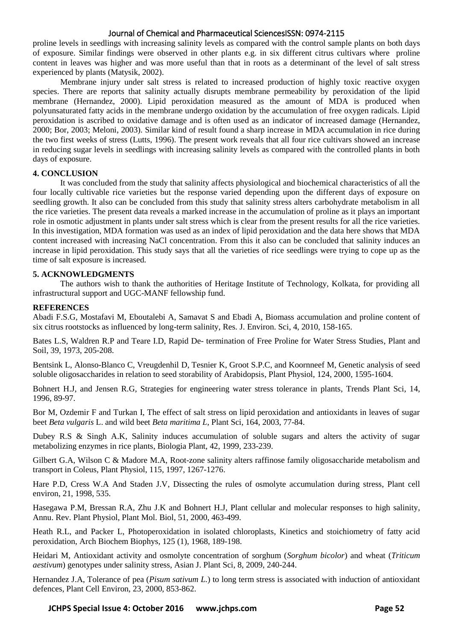proline levels in seedlings with increasing salinity levels as compared with the control sample plants on both days of exposure. Similar findings were observed in other plants e.g. in six different citrus cultivars where proline content in leaves was higher and was more useful than that in roots as a determinant of the level of salt stress experienced by plants (Matysik, 2002).

Membrane injury under salt stress is related to increased production of highly toxic reactive oxygen species. There are reports that salinity actually disrupts membrane permeability by peroxidation of the lipid membrane (Hernandez, 2000). Lipid peroxidation measured as the amount of MDA is produced when polyunsaturated fatty acids in the membrane undergo oxidation by the accumulation of free oxygen radicals. Lipid peroxidation is ascribed to oxidative damage and is often used as an indicator of increased damage (Hernandez, 2000; Bor, 2003; Meloni, 2003). Similar kind of result found a sharp increase in MDA accumulation in rice during the two first weeks of stress (Lutts, 1996). The present work reveals that all four rice cultivars showed an increase in reducing sugar levels in seedlings with increasing salinity levels as compared with the controlled plants in both days of exposure.

# **4. CONCLUSION**

It was concluded from the study that salinity affects physiological and biochemical characteristics of all the four locally cultivable rice varieties but the response varied depending upon the different days of exposure on seedling growth. It also can be concluded from this study that salinity stress alters carbohydrate metabolism in all the rice varieties. The present data reveals a marked increase in the accumulation of proline as it plays an important role in osmotic adjustment in plants under salt stress which is clear from the present results for all the rice varieties. In this investigation, MDA formation was used as an index of lipid peroxidation and the data here shows that MDA content increased with increasing NaCl concentration. From this it also can be concluded that salinity induces an increase in lipid peroxidation. This study says that all the varieties of rice seedlings were trying to cope up as the time of salt exposure is increased.

# **5. ACKNOWLEDGMENTS**

The authors wish to thank the authorities of Heritage Institute of Technology, Kolkata, for providing all infrastructural support and UGC-MANF fellowship fund.

#### **REFERENCES**

Abadi F.S.G, Mostafavi M, Eboutalebi A, Samavat S and Ebadi A, Biomass accumulation and proline content of six citrus rootstocks as influenced by long-term salinity, Res. J. Environ. Sci, 4, 2010, 158-165.

Bates L.S, Waldren R.P and Teare I.D, Rapid De- termination of Free Proline for Water Stress Studies, Plant and Soil, 39, 1973, 205-208.

Bentsink L, Alonso-Blanco C, Vreugdenhil D, Tesnier K, Groot S.P.C, and Koornneef M, Genetic analysis of seed soluble oligosaccharides in relation to seed storability of Arabidopsis, Plant Physiol, 124, 2000, 1595-1604.

Bohnert H.J, and Jensen R.G, Strategies for engineering water stress tolerance in plants, Trends Plant Sci, 14, 1996, 89-97.

Bor M, Ozdemir F and Turkan I, The effect of salt stress on lipid peroxidation and antioxidants in leaves of sugar beet *Beta vulgaris* L. and wild beet *Beta maritima L,* Plant Sci, 164, 2003, 77-84.

Dubey R.S & Singh A.K, Salinity induces accumulation of soluble sugars and alters the activity of sugar metabolizing enzymes in rice plants, Biologia Plant, 42, 1999, 233-239.

Gilbert G.A, Wilson C & Madore M.A, Root-zone salinity alters raffinose family oligosaccharide metabolism and transport in Coleus, Plant Physiol, 115, 1997, 1267-1276.

Hare P.D, Cress W.A And Staden J.V, Dissecting the rules of osmolyte accumulation during stress, Plant cell environ, 21, 1998, 535.

Hasegawa P.M, Bressan R.A, Zhu J.K and Bohnert H.J, Plant cellular and molecular responses to high salinity, Annu. Rev. Plant Physiol, Plant Mol. Biol, 51, 2000, 463-499.

Heath R.L, and Packer L, Photoperoxidation in isolated chloroplasts, Kinetics and stoichiometry of fatty acid peroxidation, Arch Biochem Biophys, 125 (1), 1968, 189-198.

Heidari M, Antioxidant activity and osmolyte concentration of sorghum (*Sorghum bicolor*) and wheat (*Triticum aestivum*) genotypes under salinity stress, Asian J. Plant Sci, 8, 2009, 240-244.

Hernandez J.A, Tolerance of pea (*Pisum sativum L.*) to long term stress is associated with induction of antioxidant defences, Plant Cell Environ, 23, 2000, 853-862.